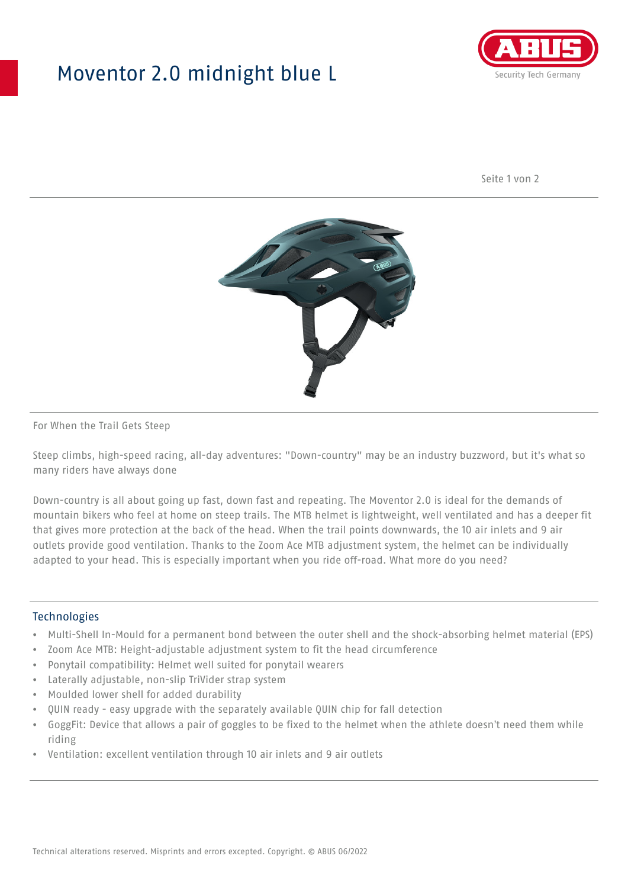## Moventor 2.0 midnight blue L



Seite 1 von 2



#### For When the Trail Gets Steep

Steep climbs, high-speed racing, all-day adventures: "Down-country" may be an industry buzzword, but it's what so many riders have always done

Down-country is all about going up fast, down fast and repeating. The Moventor 2.0 is ideal for the demands of mountain bikers who feel at home on steep trails. The MTB helmet is lightweight, well ventilated and has a deeper fit that gives more protection at the back of the head. When the trail points downwards, the 10 air inlets and 9 air outlets provide good ventilation. Thanks to the Zoom Ace MTB adjustment system, the helmet can be individually adapted to your head. This is especially important when you ride off-road. What more do you need?

#### **Technologies**

- Multi-Shell In-Mould for a permanent bond between the outer shell and the shock-absorbing helmet material (EPS)
- Zoom Ace MTB: Height-adjustable adjustment system to fit the head circumference
- Ponytail compatibility: Helmet well suited for ponytail wearers
- Laterally adjustable, non-slip TriVider strap system
- Moulded lower shell for added durability
- QUIN ready easy upgrade with the separately available QUIN chip for fall detection
- GoggFit: Device that allows a pair of goggles to be fixed to the helmet when the athlete doesn't need them while riding
- Ventilation: excellent ventilation through 10 air inlets and 9 air outlets